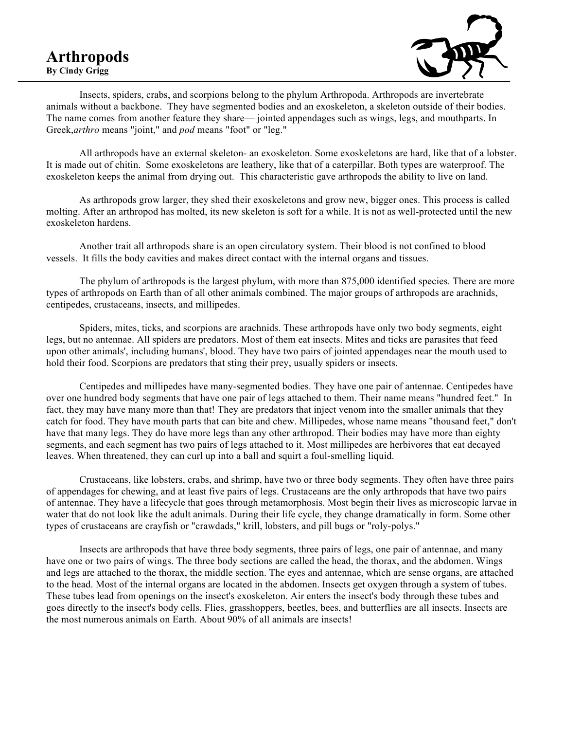## **Arthropods By Cindy Grigg**



Insects, spiders, crabs, and scorpions belong to the phylum Arthropoda. Arthropods are invertebrate animals without a backbone. They have segmented bodies and an exoskeleton, a skeleton outside of their bodies. The name comes from another feature they share— jointed appendages such as wings, legs, and mouthparts. In Greek,*arthro* means "joint," and *pod* means "foot" or "leg."

All arthropods have an external skeleton- an exoskeleton. Some exoskeletons are hard, like that of a lobster. It is made out of chitin. Some exoskeletons are leathery, like that of a caterpillar. Both types are waterproof. The exoskeleton keeps the animal from drying out. This characteristic gave arthropods the ability to live on land.

As arthropods grow larger, they shed their exoskeletons and grow new, bigger ones. This process is called molting. After an arthropod has molted, its new skeleton is soft for a while. It is not as well-protected until the new exoskeleton hardens.

Another trait all arthropods share is an open circulatory system. Their blood is not confined to blood vessels. It fills the body cavities and makes direct contact with the internal organs and tissues.

The phylum of arthropods is the largest phylum, with more than 875,000 identified species. There are more types of arthropods on Earth than of all other animals combined. The major groups of arthropods are arachnids, centipedes, crustaceans, insects, and millipedes.

Spiders, mites, ticks, and scorpions are arachnids. These arthropods have only two body segments, eight legs, but no antennae. All spiders are predators. Most of them eat insects. Mites and ticks are parasites that feed upon other animals', including humans', blood. They have two pairs of jointed appendages near the mouth used to hold their food. Scorpions are predators that sting their prey, usually spiders or insects.

Centipedes and millipedes have many-segmented bodies. They have one pair of antennae. Centipedes have over one hundred body segments that have one pair of legs attached to them. Their name means "hundred feet." In fact, they may have many more than that! They are predators that inject venom into the smaller animals that they catch for food. They have mouth parts that can bite and chew. Millipedes, whose name means "thousand feet," don't have that many legs. They do have more legs than any other arthropod. Their bodies may have more than eighty segments, and each segment has two pairs of legs attached to it. Most millipedes are herbivores that eat decayed leaves. When threatened, they can curl up into a ball and squirt a foul-smelling liquid.

Crustaceans, like lobsters, crabs, and shrimp, have two or three body segments. They often have three pairs of appendages for chewing, and at least five pairs of legs. Crustaceans are the only arthropods that have two pairs of antennae. They have a lifecycle that goes through metamorphosis. Most begin their lives as microscopic larvae in water that do not look like the adult animals. During their life cycle, they change dramatically in form. Some other types of crustaceans are crayfish or "crawdads," krill, lobsters, and pill bugs or "roly-polys."

Insects are arthropods that have three body segments, three pairs of legs, one pair of antennae, and many have one or two pairs of wings. The three body sections are called the head, the thorax, and the abdomen. Wings and legs are attached to the thorax, the middle section. The eyes and antennae, which are sense organs, are attached to the head. Most of the internal organs are located in the abdomen. Insects get oxygen through a system of tubes. These tubes lead from openings on the insect's exoskeleton. Air enters the insect's body through these tubes and goes directly to the insect's body cells. Flies, grasshoppers, beetles, bees, and butterflies are all insects. Insects are the most numerous animals on Earth. About 90% of all animals are insects!